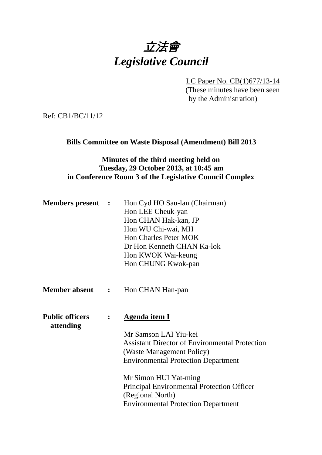

LC Paper No. CB(1)677/13-14

(These minutes have been seen by the Administration)

Ref: CB1/BC/11/12

**Bills Committee on Waste Disposal (Amendment) Bill 2013** 

# **Minutes of the third meeting held on Tuesday, 29 October 2013, at 10:45 am in Conference Room 3 of the Legislative Council Complex**

| <b>Members present :</b>            |                | Hon Cyd HO Sau-lan (Chairman)<br>Hon LEE Cheuk-yan<br>Hon CHAN Hak-kan, JP<br>Hon WU Chi-wai, MH<br><b>Hon Charles Peter MOK</b><br>Dr Hon Kenneth CHAN Ka-lok<br>Hon KWOK Wai-keung<br>Hon CHUNG Kwok-pan                                                                                                                        |
|-------------------------------------|----------------|-----------------------------------------------------------------------------------------------------------------------------------------------------------------------------------------------------------------------------------------------------------------------------------------------------------------------------------|
| <b>Member absent :</b>              |                | Hon CHAN Han-pan                                                                                                                                                                                                                                                                                                                  |
| <b>Public officers</b><br>attending | $\ddot{\cdot}$ | <b>Agenda item I</b><br>Mr Samson LAI Yiu-kei<br><b>Assistant Director of Environmental Protection</b><br>(Waste Management Policy)<br><b>Environmental Protection Department</b><br>Mr Simon HUI Yat-ming<br><b>Principal Environmental Protection Officer</b><br>(Regional North)<br><b>Environmental Protection Department</b> |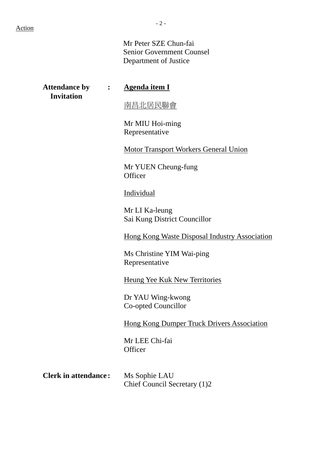Mr Peter SZE Chun-fai Senior Government Counsel Department of Justice

| <b>Attendance by : :</b><br><b>Invitation</b> |  | <b>Agenda item I</b>                                 |
|-----------------------------------------------|--|------------------------------------------------------|
|                                               |  | 南昌北居民聯會                                              |
|                                               |  | Mr MIU Hoi-ming<br>Representative                    |
|                                               |  | <b>Motor Transport Workers General Union</b>         |
|                                               |  | Mr YUEN Cheung-fung<br>Officer                       |
|                                               |  | Individual                                           |
|                                               |  | Mr LI Ka-leung<br>Sai Kung District Councillor       |
|                                               |  | <b>Hong Kong Waste Disposal Industry Association</b> |
|                                               |  | Ms Christine YIM Wai-ping<br>Representative          |
|                                               |  | <b>Heung Yee Kuk New Territories</b>                 |
|                                               |  | Dr YAU Wing-kwong<br>Co-opted Councillor             |
|                                               |  | <b>Hong Kong Dumper Truck Drivers Association</b>    |
|                                               |  | Mr LEE Chi-fai<br>Officer                            |
| <b>Clerk in attendance:</b>                   |  | Ms Sophie LAU<br>Chief Council Secretary (1)2        |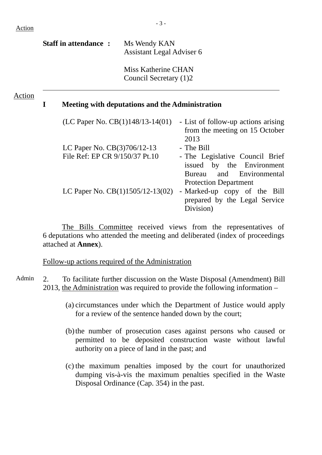|        | <b>Staff in attendance:</b> |                                                               | Ms Wendy KAN<br>Assistant Legal Adviser 6     |                                                                                          |
|--------|-----------------------------|---------------------------------------------------------------|-----------------------------------------------|------------------------------------------------------------------------------------------|
|        |                             |                                                               | Miss Katherine CHAN<br>Council Secretary (1)2 |                                                                                          |
| Action | I                           | Meeting with deputations and the Administration               |                                               |                                                                                          |
|        |                             | (LC Paper No. $CB(1)148/13-14(01)$                            |                                               | - List of follow-up actions arising<br>from the meeting on 15 October<br>2013            |
|        |                             | LC Paper No. CB(3)706/12-13<br>File Ref: EP CR 9/150/37 Pt.10 |                                               | - The Bill<br>- The Legislative Council Brief                                            |
|        |                             |                                                               |                                               | issued by the Environment<br>and Environmental<br>Bureau<br><b>Protection Department</b> |

LC Paper No.  $CB(1)1505/12-13(02)$  - Marked-up copy of the Bill prepared by the Legal Service Division)

The Bills Committee received views from the representatives of 6 deputations who attended the meeting and deliberated (index of proceedings attached at **Annex**).

Follow-up actions required of the Administration

Admin 2. To facilitate further discussion on the Waste Disposal (Amendment) Bill 2013, the Administration was required to provide the following information –

- (a) circumstances under which the Department of Justice would apply for a review of the sentence handed down by the court;
- (b)the number of prosecution cases against persons who caused or permitted to be deposited construction waste without lawful authority on a piece of land in the past; and
- (c) the maximum penalties imposed by the court for unauthorized dumping vis-à-vis the maximum penalties specified in the Waste Disposal Ordinance (Cap. 354) in the past.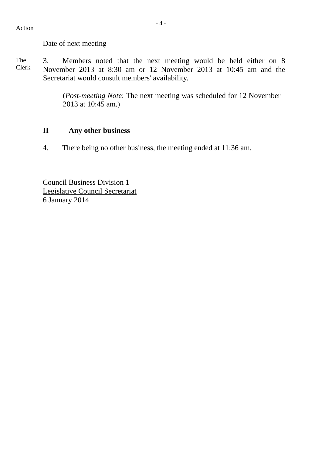#### Action

### Date of next meeting

The Clerk 3. Members noted that the next meeting would be held either on 8 November 2013 at 8:30 am or 12 November 2013 at 10:45 am and the Secretariat would consult members' availability.

> (*Post-meeting Note*: The next meeting was scheduled for 12 November 2013 at 10:45 am.)

## **II Any other business**

4. There being no other business, the meeting ended at 11:36 am.

Council Business Division 1 Legislative Council Secretariat 6 January 2014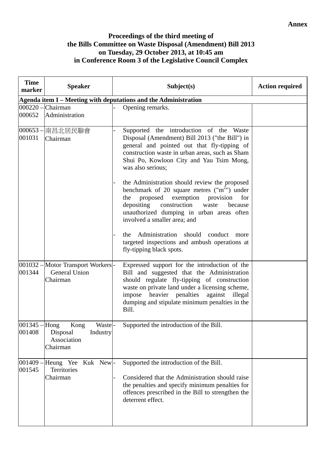### **Proceedings of the third meeting of the Bills Committee on Waste Disposal (Amendment) Bill 2013 on Tuesday, 29 October 2013, at 10:45 am in Conference Room 3 of the Legislative Council Complex**

| <b>Time</b><br>marker | <b>Speaker</b>                                                           | Subject(s)                                                                                                                                                                                                                                                                                           | <b>Action required</b> |  |  |  |
|-----------------------|--------------------------------------------------------------------------|------------------------------------------------------------------------------------------------------------------------------------------------------------------------------------------------------------------------------------------------------------------------------------------------------|------------------------|--|--|--|
|                       | Agenda item I - Meeting with deputations and the Administration          |                                                                                                                                                                                                                                                                                                      |                        |  |  |  |
| 000652                | 000220 - Chairman<br>Administration                                      | Opening remarks.                                                                                                                                                                                                                                                                                     |                        |  |  |  |
| 001031                | 000653 – 南昌北居民聯會<br>Chairman                                             | Supported the introduction of the Waste<br>Disposal (Amendment) Bill 2013 ("the Bill") in<br>general and pointed out that fly-tipping of<br>construction waste in urban areas, such as Sham<br>Shui Po, Kowloon City and Yau Tsim Mong,<br>was also serious;                                         |                        |  |  |  |
|                       |                                                                          | the Administration should review the proposed<br>benchmark of 20 square metres $("m2")$ under<br>exemption provision<br>proposed<br>the<br>for<br>depositing construction<br>waste<br>because<br>unauthorized dumping in urban areas often<br>involved a smaller area; and                           |                        |  |  |  |
|                       |                                                                          | the Administration should conduct more<br>targeted inspections and ambush operations at<br>fly-tipping black spots.                                                                                                                                                                                  |                        |  |  |  |
| 001344                | 001032 – Motor Transport Workers -<br><b>General Union</b><br>Chairman   | Expressed support for the introduction of the<br>Bill and suggested that the Administration<br>should regulate fly-tipping of construction<br>waste on private land under a licensing scheme,<br>impose heavier penalties against illegal<br>dumping and stipulate minimum penalties in the<br>Bill. |                        |  |  |  |
| 001345 -<br>001408    | Hong<br>Kong<br>Waste<br>Disposal<br>Industry<br>Association<br>Chairman | Supported the introduction of the Bill.                                                                                                                                                                                                                                                              |                        |  |  |  |
| 001409<br>001545      | Heung Yee Kuk New -<br>Territories<br>Chairman                           | Supported the introduction of the Bill.<br>Considered that the Administration should raise<br>the penalties and specify minimum penalties for<br>offences prescribed in the Bill to strengthen the<br>deterrent effect.                                                                              |                        |  |  |  |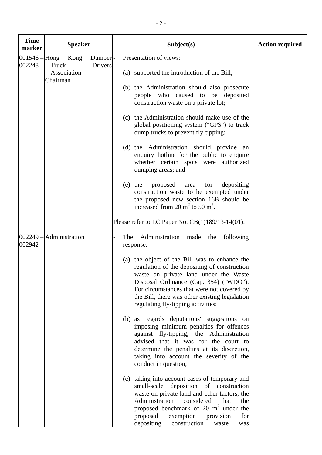| <b>Time</b>               | <b>Speaker</b>          |                           | Subject(s)                                                                                                                                                                                                                                                                                                                    | <b>Action required</b> |
|---------------------------|-------------------------|---------------------------|-------------------------------------------------------------------------------------------------------------------------------------------------------------------------------------------------------------------------------------------------------------------------------------------------------------------------------|------------------------|
| marker                    |                         |                           |                                                                                                                                                                                                                                                                                                                               |                        |
| $001546 -$ Hong<br>002248 | Kong<br>Truck           | Dumper-<br><b>Drivers</b> | Presentation of views:                                                                                                                                                                                                                                                                                                        |                        |
|                           | Association<br>Chairman |                           | (a) supported the introduction of the Bill;                                                                                                                                                                                                                                                                                   |                        |
|                           |                         |                           | (b) the Administration should also prosecute<br>people who caused to be deposited<br>construction waste on a private lot;                                                                                                                                                                                                     |                        |
|                           |                         |                           | (c) the Administration should make use of the<br>global positioning system ("GPS") to track<br>dump trucks to prevent fly-tipping;                                                                                                                                                                                            |                        |
|                           |                         |                           | (d) the Administration should provide an<br>enquiry hotline for the public to enquire<br>whether certain spots were authorized<br>dumping areas; and                                                                                                                                                                          |                        |
|                           |                         |                           | $(e)$ the<br>proposed<br>for<br>depositing<br>area<br>construction waste to be exempted under<br>the proposed new section 16B should be<br>increased from 20 $m2$ to 50 $m2$ .                                                                                                                                                |                        |
|                           |                         |                           | Please refer to LC Paper No. $CB(1)189/13-14(01)$ .                                                                                                                                                                                                                                                                           |                        |
| $002249 -$<br>002942      | Administration          |                           | Administration<br>following<br>The<br>made the<br>response:                                                                                                                                                                                                                                                                   |                        |
|                           |                         |                           | (a) the object of the Bill was to enhance the<br>regulation of the depositing of construction<br>waste on private land under the Waste<br>Disposal Ordinance (Cap. 354) ("WDO").<br>For circumstances that were not covered by<br>the Bill, there was other existing legislation<br>regulating fly-tipping activities;        |                        |
|                           |                         |                           | (b) as regards deputations' suggestions on<br>imposing minimum penalties for offences<br>against fly-tipping, the Administration<br>advised that it was for the court to<br>determine the penalties at its discretion,<br>taking into account the severity of the<br>conduct in question;                                     |                        |
|                           |                         |                           | (c) taking into account cases of temporary and<br>small-scale deposition of construction<br>waste on private land and other factors, the<br>considered<br>Administration<br>that<br>the<br>proposed benchmark of 20 $m2$ under the<br>proposed<br>exemption<br>for<br>provision<br>depositing<br>construction<br>waste<br>was |                        |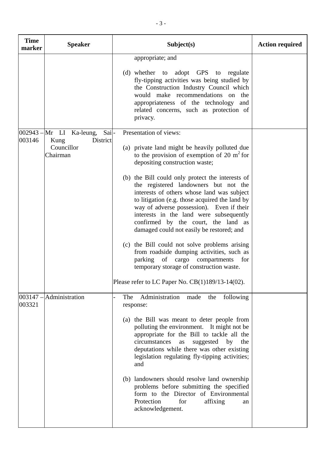| <b>Time</b><br>marker | <b>Speaker</b>                                                                      | Subject(s)                                                                                                                                                                                                                                                                                                                                                                                                                                                                                                                                                                                                                                                                                                                                                                | <b>Action required</b> |
|-----------------------|-------------------------------------------------------------------------------------|---------------------------------------------------------------------------------------------------------------------------------------------------------------------------------------------------------------------------------------------------------------------------------------------------------------------------------------------------------------------------------------------------------------------------------------------------------------------------------------------------------------------------------------------------------------------------------------------------------------------------------------------------------------------------------------------------------------------------------------------------------------------------|------------------------|
|                       |                                                                                     | appropriate; and<br>(d) whether to adopt GPS to regulate<br>fly-tipping activities was being studied by<br>the Construction Industry Council which<br>would make recommendations on the<br>appropriateness of the technology and<br>related concerns, such as protection of<br>privacy.                                                                                                                                                                                                                                                                                                                                                                                                                                                                                   |                        |
| 003146                | $ 002943 -  $ Mr LI Ka-leung,<br>Sai-<br>Kung<br>District<br>Councillor<br>Chairman | Presentation of views:<br>(a) private land might be heavily polluted due<br>to the provision of exemption of 20 $m2$ for<br>depositing construction waste;<br>(b) the Bill could only protect the interests of<br>the registered landowners but not the<br>interests of others whose land was subject<br>to litigation (e.g. those acquired the land by<br>way of adverse possession). Even if their<br>interests in the land were subsequently<br>confirmed by the court, the land as<br>damaged could not easily be restored; and<br>(c) the Bill could not solve problems arising<br>from roadside dumping activities, such as<br>parking of cargo compartments<br>for<br>temporary storage of construction waste.<br>Please refer to LC Paper No. CB(1)189/13-14(02). |                        |
| 003147 -<br>003321    | Administration                                                                      | Administration<br>The<br>following<br>made<br>the<br>response:<br>(a) the Bill was meant to deter people from<br>polluting the environment. It might not be<br>appropriate for the Bill to tackle all the<br>circumstances<br>suggested<br>by<br>the<br>as<br>deputations while there was other existing<br>legislation regulating fly-tipping activities;<br>and<br>(b) landowners should resolve land ownership<br>problems before submitting the specified<br>form to the Director of Environmental<br>Protection<br>for<br>affixing<br>an<br>acknowledgement.                                                                                                                                                                                                         |                        |